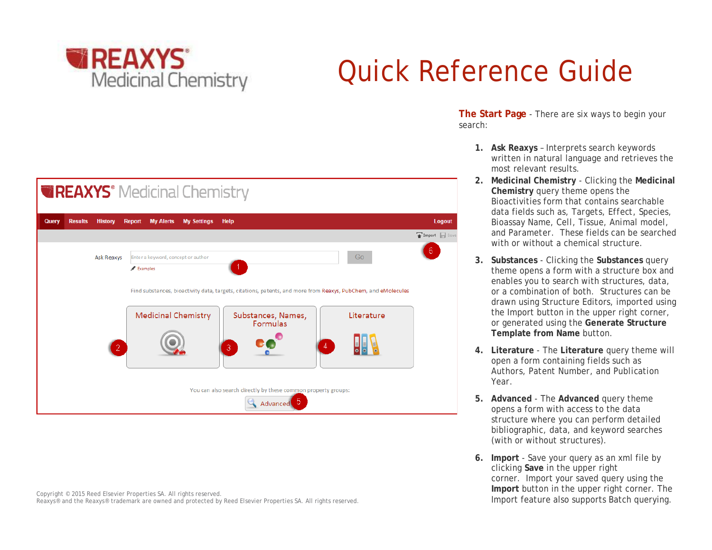

# Quick Reference Guide



Copyright © 2015 Reed Elsevier Properties SA. All rights reserved. Reaxys® and the Reaxys® trademark are owned and protected by Reed Elsevier Properties SA. All rights reserved. **The Start Page** - There are six ways to begin your search:

- **1. Ask Reaxys** Interprets search keywords written in natural language and retrieves the most relevant results.
- **2. Medicinal Chemistry** Clicking the **Medicinal Chemistry** query theme opens the Bioactivities form that contains searchable data fields such as, *Targets, Effect, Species, Bioassay Name, Cell, Tissue, Animal model,* and *Parameter.* These fields can be searched with or without a chemical structure.
- **3. Substances** Clicking the **Substances** query theme opens a form with a structure box and enables you to search with structures, data, or a combination of both. Structures can be drawn using Structure Editors, imported using the Import button in the upper right corner, or generated using the **Generate Structure Template from Name** button.
- **4. Literature**  The **Literature** query theme will open a form containing fields such as *Authors, Patent Number,* and *Publication Year*.
- **5. Advanced** The **Advanced** query theme opens a form with access to the data structure where you can perform detailed bibliographic, data, and keyword searches (with or without structures).
- **6. Import** Save your query as an xml file by clicking **Save** in the upper right corner. Import your saved query using the **Import** button in the upper right corner. The Import feature also supports Batch querying.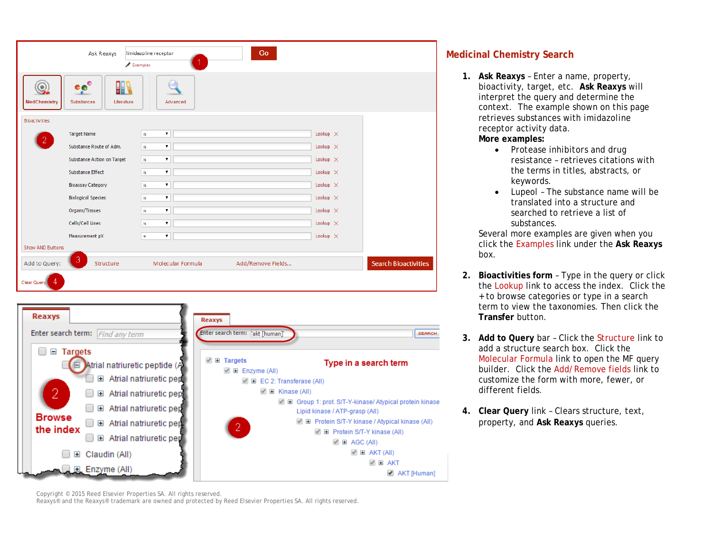| Ask Reaxys                                                                                         | Go<br>limidazoline receptor<br>Examples |                 |                             |
|----------------------------------------------------------------------------------------------------|-----------------------------------------|-----------------|-----------------------------|
| <b>CO</b> <sup>O</sup><br><b>SBP</b><br>$\circledcirc$<br>Literature<br>MedChemistry<br>Substances | Advanced                                |                 |                             |
| <b>Bioactivities</b>                                                                               |                                         |                 |                             |
| <b>Target Name</b>                                                                                 | ۷.<br>is.                               | Lookup $\times$ |                             |
| 2.<br>Substance Route of Adm.                                                                      | $\pmb{\mathrm{v}}$<br>is.               | Lookup $\times$ |                             |
| <b>Substance Action on Target</b>                                                                  | is.<br>۷.                               | Lookup $\times$ |                             |
| <b>Substance Effect</b>                                                                            | ۷.<br><b>is</b>                         | Lookup $\times$ |                             |
| <b>Bioassay Category</b>                                                                           | $\pmb{\mathrm{v}}$<br>is.               | Lookup $\times$ |                             |
| <b>Biological Species</b>                                                                          | <b>is</b>                               | Lookup $\times$ |                             |
| Organs/Tissues                                                                                     | ۷.<br>is.                               | Lookup $\times$ |                             |
| Cells/Cell Lines                                                                                   | is.<br>۷.                               | Lookup $\times$ |                             |
| Measurement pX                                                                                     | ۷.<br>$\equiv$                          | Lookup $\times$ |                             |
| Show AND Buttons                                                                                   |                                         |                 |                             |
| 3<br>Add to Query:<br>Structure                                                                    | Add/Remove Fields<br>Molecular Formula  |                 | <b>Search Bioactivities</b> |
| Clear Query<br>-4                                                                                  |                                         |                 |                             |



**Medicinal Chemistry Search** 

**1. Ask Reaxys** – Enter a name, property, bioactivity, target, etc. **Ask Reaxys** will interpret the query and determine the context. The example shown on this page retrieves substances with *imidazoline receptor* activity data.

**More examples:** 

- *Protease inhibitors and drug resistance* – retrieves citations with the terms in titles, abstracts, or keywords.
- *Lupeol*  The substance name will be translated into a structure and searched to retrieve a list of substances.

Several more examples are given when you click the Examples link under the **Ask Reaxys** box.

- **2. Bioactivities form** Type in the query or click the Lookup link to access the index. Click the + to browse categories or type in a search term to view the taxonomies. Then click the **Transfer** button.
- **3. Add to Query** bar Click the Structure link to add a structure search box. Click the Molecular Formula link to open the MF query builder. Click the Add/Remove fields link to customize the form with more, fewer, or different fields.
- **4. Clear Query** link Clears structure, text, property, and **Ask Reaxys** queries.

Copyright © 2015 Reed Elsevier Properties SA. All rights reserved.

Reaxys® and the Reaxys® trademark are owned and protected by Reed Elsevier Properties SA. All rights reserved.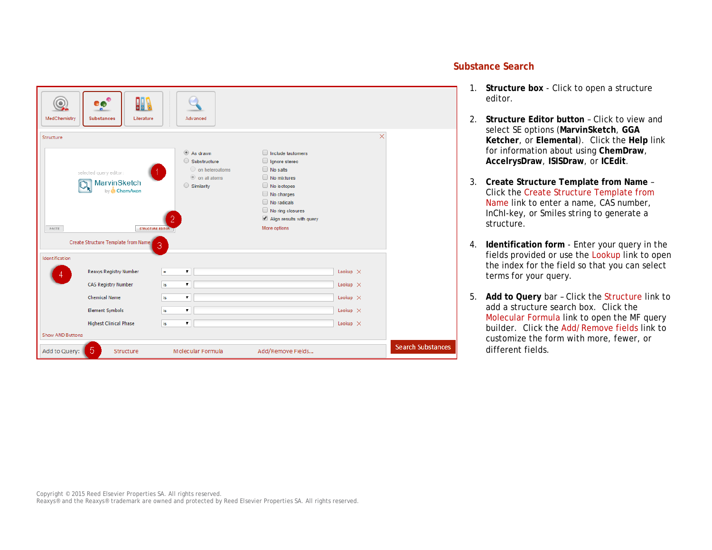| $\bullet$<br>馴<br>◎<br>eo<br>o.<br>MedChemistry<br><b>Substances</b><br>Literature                    | Advanced                                                                                                      |                                                                                                                                                                                         |                 |                          |  |
|-------------------------------------------------------------------------------------------------------|---------------------------------------------------------------------------------------------------------------|-----------------------------------------------------------------------------------------------------------------------------------------------------------------------------------------|-----------------|--------------------------|--|
| Structure                                                                                             |                                                                                                               |                                                                                                                                                                                         | $\times$        |                          |  |
| selected query editor:<br>MarvinSketch<br>by ChemAxon<br><b>STRUCTURE EDITOR<sup>1</sup></b><br>PASTE | $\circledcirc$ As drawn<br>Substructure<br>$\bigcirc$ on heteroatoms<br>to on all atoms<br>$\circ$ Similarity | Include tautomers<br>Ignore stereo<br>No salts<br>$\Box$ No mixtures<br>$\Box$ No isotopes<br>No charges<br>No radicals<br>No ring closures<br>Align results with query<br>More options |                 |                          |  |
| Create Structure Template from Name<br>3                                                              |                                                                                                               |                                                                                                                                                                                         |                 |                          |  |
| Identification<br>Reaxys Registry Number                                                              | Ξ                                                                                                             |                                                                                                                                                                                         | Lookup $\times$ |                          |  |
| <b>CAS Registry Number</b>                                                                            | ۷.<br>is.                                                                                                     |                                                                                                                                                                                         | Lookup $\times$ |                          |  |
| <b>Chemical Name</b>                                                                                  | ۷.<br>is.                                                                                                     |                                                                                                                                                                                         | Lookup $\times$ |                          |  |
| <b>Element Symbols</b>                                                                                | ۷.<br>is.                                                                                                     |                                                                                                                                                                                         | Lookup $\times$ |                          |  |
| <b>Highest Clinical Phase</b>                                                                         | is                                                                                                            |                                                                                                                                                                                         | Lookup $\times$ |                          |  |
| Show AND Buttons                                                                                      |                                                                                                               |                                                                                                                                                                                         |                 |                          |  |
| 5<br>Add to Query:<br>Structure                                                                       | Molecular Formula                                                                                             | Add/Remove Fields                                                                                                                                                                       |                 | <b>Search Substances</b> |  |

#### **Substance Search**

- 1. **Structure box** Click to open a structure editor.
- 2. **Structure Editor button** Click to view and select SE options (**MarvinSketch**, **GGA Ketcher**, or **Elemental**). Click the **Help** link for information about using **ChemDraw**, **AccelrysDraw**, **ISISDraw**, or **ICEdit**.
- 3. **Create Structure Template from Name** Click the Create Structure Template from Name link to enter a name, CAS number, InChI-key, or Smiles string to generate a structure.
- 4. **Identification form** Enter your query in the fields provided or use the Lookup link to open the index for the field so that you can select terms for your query.
- 5. **Add to Query** bar Click the Structure link to add a structure search box. Click the Molecular Formula link to open the MF query builder. Click the Add/Remove fields link to customize the form with more, fewer, or different fields.

Copyright © 2015 Reed Elsevier Properties SA. All rights reserved. Reaxys® and the Reaxys® trademark are owned and protected by Reed Elsevier Properties SA. All rights reserved.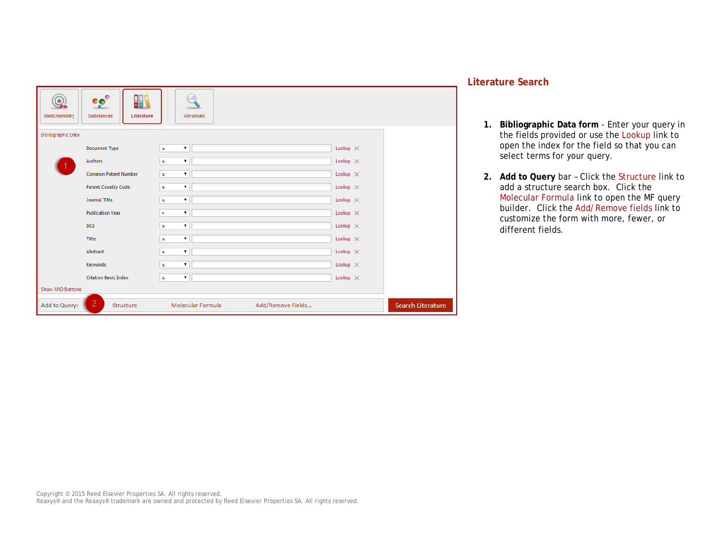| eeo<br>Q.<br><b>JIF</b><br>MedChemistry<br>Substances<br>Literature | Advanced                               |                          |
|---------------------------------------------------------------------|----------------------------------------|--------------------------|
| <b>Bibliographic Data</b>                                           |                                        |                          |
| Document Type                                                       | is<br>$\pmb{\mathrm{v}}$               | Lookup $\times$          |
| Authors                                                             | is<br>$\pmb{\mathrm{v}}$               | Lookup $\times$          |
| <b>Common Patent Number</b>                                         | is                                     | Lookup $\times$          |
| <b>Patent Country Code</b>                                          | $\pmb{\mathrm{v}}$<br>is               | Lookup $\times$          |
| Journal Title                                                       | $\pmb{\mathrm{v}}$<br>is               | Lookup $\times$          |
| <b>Publication Year</b>                                             | $\pmb{\mathrm{v}}$<br>$\equiv$         | Lookup $\times$          |
| <b>DOI</b>                                                          | is<br>$\pmb{\mathrm{v}}$               | Lookup $\times$          |
| Title                                                               | is.                                    | Lookup $\times$          |
| Abstract                                                            | $\pmb{\mathrm{v}}$<br>is               | Lookup $\times$          |
| Keywords                                                            | is                                     | Lookup $\times$          |
| <b>Citation Basic Index</b>                                         | $\pmb{\mathrm{v}}$<br>is               | Lookup $\times$          |
| Show AND Buttons                                                    |                                        |                          |
| $\overline{2}$<br>Add to Query:<br>Structure                        | Add/Remove Fields<br>Molecular Formula | <b>Search Literature</b> |

### **Literature Search**

- **1. Bibliographic Data form** Enter your query in the fields provided or use the Lookup link to open the index for the field so that you can select terms for your query.
- **2. Add to Query** bar Click the Structure link to add a structure search box. Click the Molecular Formula link to open the MF query builder. Click the Add/Remove fields link to customize the form with more, fewer, or different fields.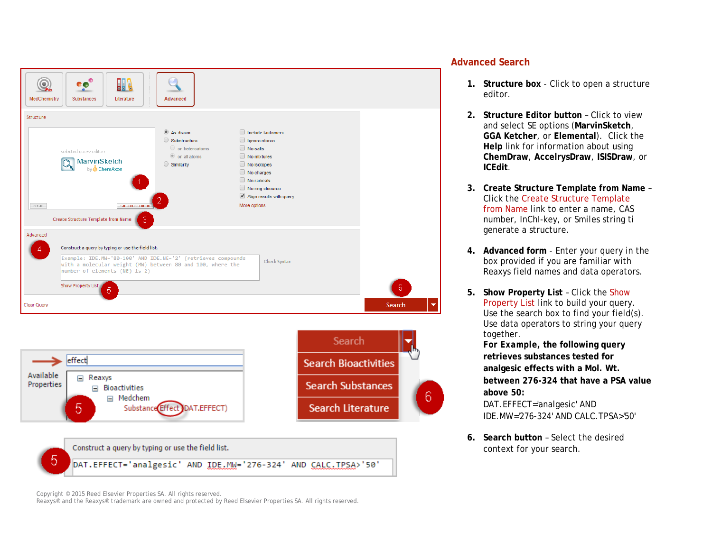

Copyright © 2015 Reed Elsevier Properties SA. All rights reserved.

Reaxys® and the Reaxys® trademark are owned and protected by Reed Elsevier Properties SA. All rights reserved.

#### **Advanced Search**

- **1. Structure box** Click to open a structure editor.
- **2. Structure Editor button** Click to view and select SE options (**MarvinSketch**, **GGA Ketcher**, or **Elemental**). Click the **Help** link for information about using **ChemDraw**, **AccelrysDraw**, **ISISDraw**, or **ICEdit**.
- **3. Create Structure Template from Name** Click the Create Structure Template from Name link to enter a name, CAS number, InChI-key, or Smiles string ti generate a structure.
- **4. Advanced form** Enter your query in the box provided if you are familiar with Reaxys field names and data operators.
- **5. Show Property List**  Click the Show Property List link to build your query. Use the search box to find your field(s). Use data operators to string your query together.

*For Exampl***e, the following query retrieves substances tested for analgesic effects with a Mol. Wt. between 276-324 that have a PSA value above 50:**

DAT.EFFECT='analgesic' AND IDE.MW='276-324' AND CALC.TPSA>'50'

**6. Search button** – Select the desired context for your search.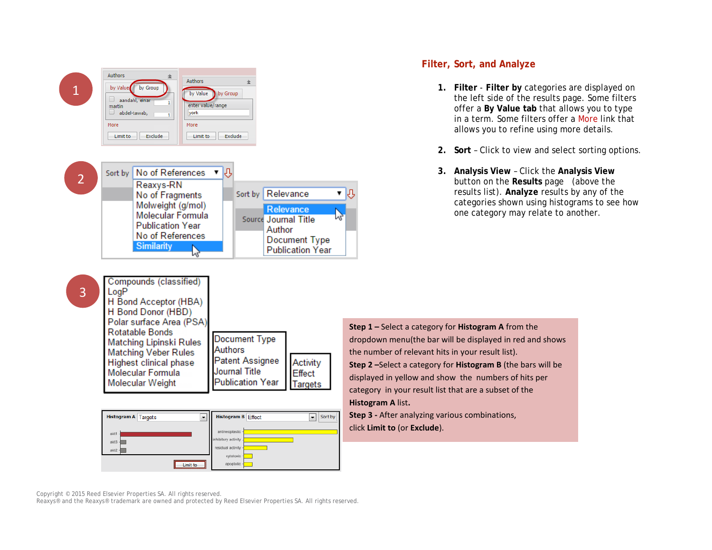

#### **Filter, Sort, and Analyze**

- **1. Filter Filter by** categories are displayed on the left side of the results page. Some filters offer a **By Value tab** that allows you to type in a term. Some filters offer a More link that allows you to refine using more details.
- **2. Sort** Click to view and select sorting options.
- **3. Analysis View** Click the **Analysis View** button on the **Results** page (above the results list). **Analyze** results by any of the categories shown using histograms to see how one category may relate to another.

**Step 1 –** Select a category for **Histogram A** from the dropdown menu(the bar will be displayed in red and shows the number of relevant hits in your result list). **Step 2 –**Select a category for **Histogram B** (the bars will be displayed in yellow and show the numbers of hits per category in your result list that are a subset of the **Histogram A** list**.**

**Step 3 -** After analyzing various combinations, click **Limit to** (or **Exclude**).

Copyright © 2015 Reed Elsevier Properties SA. All rights reserved.

Reaxys® and the Reaxys® trademark are owned and protected by Reed Elsevier Properties SA. All rights reserved.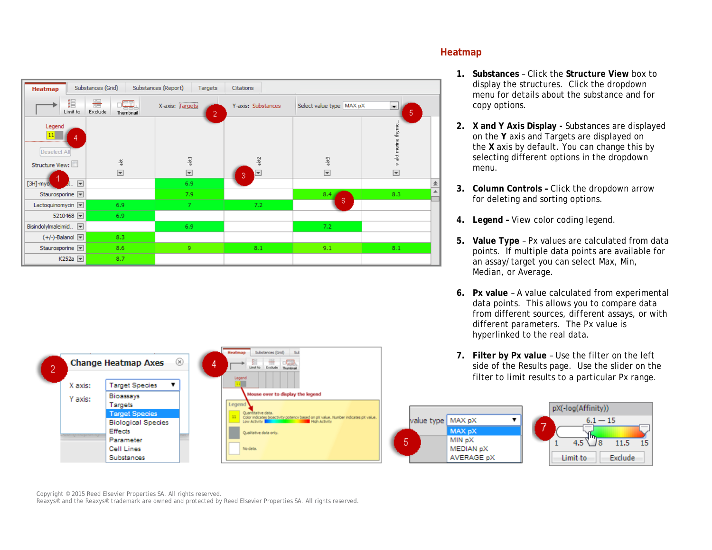

Substances (Grid) Sub

se over to display the legend

Color indicates bioactivity potency based on pX value. Number indicates pX value<br>Low Activity

 $\frac{100}{2}$ 

**Bue date** 

Qualitative data only.

No data

Legen



- **1. Substances** Click the **Structure View** box to display the structures. Click the dropdown menu for details about the substance and for copy options.
- **2. X and Y Axis Display -** Substances are displayed on the **Y** axis and Targets are displayed on the **X** axis by default. You can change this by selecting different options in the dropdown menu.
- **3. Column Controls –** Click the dropdown arrow for deleting and sorting options.
- **4. Legend –** View color coding legend.
- **5. Value Type** Px values are calculated from data points. If multiple data points are available for an assay/target you can select Max, Min, Median, or Average.
- **6. Px value** A value calculated from experimental data points. This allows you to compare data from different sources, different assays, or with different parameters. The Px value is hyperlinked to the real data.
- **7. Filter by Px value** Use the filter on the left side of the Results page. Use the slider on the filter to limit results to a particular Px range.





Copyright © 2015 Reed Elsevier Properties SA. All rights reserved.

**Change Heatmap Axes** 

**Target Species** 

**Target Species** 

**Biological Species** 

Bioassays

Targets

Effects

Parameter

Cell Lines

Substances

Ž.

X axis:

Y axis:

Reaxys® and the Reaxys® trademark are owned and protected by Reed Elsevier Properties SA. All rights reserved.

 $\circledR$ 

 $\mathbf{v}$